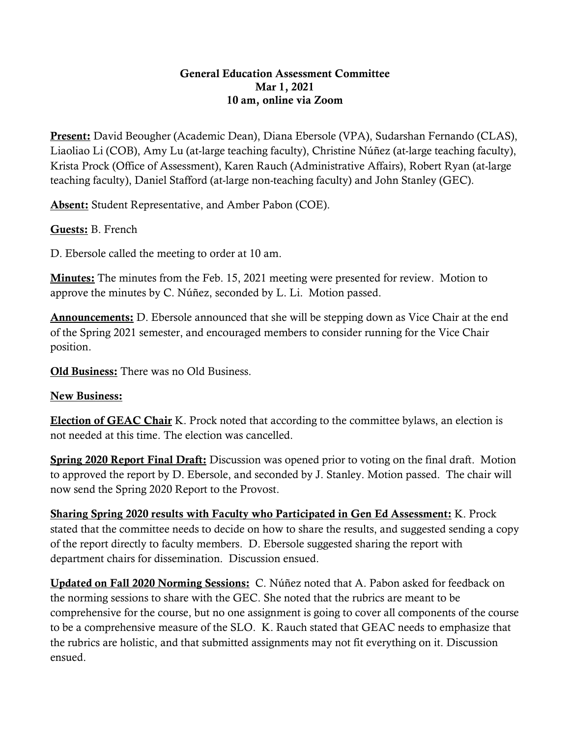## General Education Assessment Committee Mar 1, 2021 10 am, online via Zoom

Present: David Beougher (Academic Dean), Diana Ebersole (VPA), Sudarshan Fernando (CLAS), Liaoliao Li (COB), Amy Lu (at-large teaching faculty), Christine Núñez (at-large teaching faculty), Krista Prock (Office of Assessment), Karen Rauch (Administrative Affairs), Robert Ryan (at-large teaching faculty), Daniel Stafford (at-large non-teaching faculty) and John Stanley (GEC).

Absent: Student Representative, and Amber Pabon (COE).

## Guests: B. French

D. Ebersole called the meeting to order at 10 am.

**Minutes:** The minutes from the Feb. 15, 2021 meeting were presented for review. Motion to approve the minutes by C. Núñez, seconded by L. Li. Motion passed.

Announcements: D. Ebersole announced that she will be stepping down as Vice Chair at the end of the Spring 2021 semester, and encouraged members to consider running for the Vice Chair position.

Old Business: There was no Old Business.

## New Business:

Election of GEAC Chair K. Prock noted that according to the committee bylaws, an election is not needed at this time. The election was cancelled.

**Spring 2020 Report Final Draft:** Discussion was opened prior to voting on the final draft. Motion to approved the report by D. Ebersole, and seconded by J. Stanley. Motion passed. The chair will now send the Spring 2020 Report to the Provost.

Sharing Spring 2020 results with Faculty who Participated in Gen Ed Assessment: K. Prock stated that the committee needs to decide on how to share the results, and suggested sending a copy of the report directly to faculty members. D. Ebersole suggested sharing the report with department chairs for dissemination. Discussion ensued.

Updated on Fall 2020 Norming Sessions: C. Núñez noted that A. Pabon asked for feedback on the norming sessions to share with the GEC. She noted that the rubrics are meant to be comprehensive for the course, but no one assignment is going to cover all components of the course to be a comprehensive measure of the SLO. K. Rauch stated that GEAC needs to emphasize that the rubrics are holistic, and that submitted assignments may not fit everything on it. Discussion ensued.